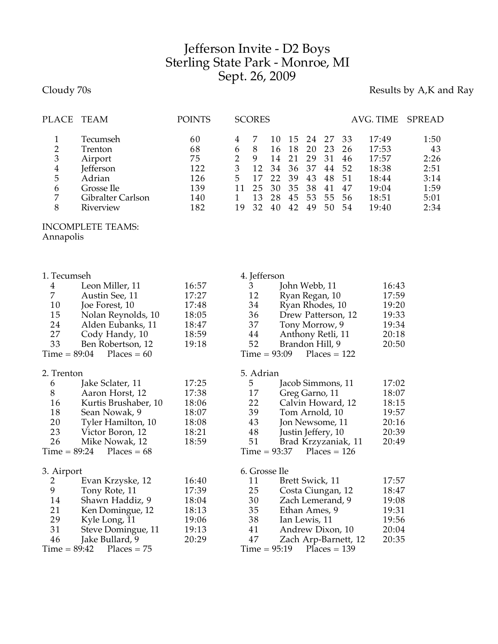## Jefferson Invite - D2 Boys Sterling State Park - Monroe, MI Sept. 26, 2009

Cloudy 70s **Results by A,K and Ray** 

| PLACE          | <b>TEAM</b>       | <b>POINTS</b> |    | <b>SCORES</b> |     |      |    |    |    | AVG. TIME | SPREAD |
|----------------|-------------------|---------------|----|---------------|-----|------|----|----|----|-----------|--------|
|                | Tecumseh          | 60            |    |               | 10  | -1.5 | 24 | 27 | 33 | 17:49     | 1:50   |
| 2              | Trenton           | 68            | 6  | 8             | 16. | 18   | 20 | 23 | 26 | 17:53     | 43     |
| 3              | Airport           | 75            |    | q             | 14  | 21   | 29 | 31 | 46 | 17:57     | 2:26   |
| $\overline{4}$ | <b>Jefferson</b>  | 122           | 3  | 12            | 34  | 36   | 37 | 44 | 52 | 18:38     | 2:51   |
| 5              | Adrian            | 126           | 5. |               | 22  | 39   | 43 | 48 | 51 | 18:44     | 3:14   |
| 6              | Grosse Ile        | 139           |    | 25            | 30  | 35   | 38 | 41 | 47 | 19:04     | 1:59   |
| 7              | Gibralter Carlson | 140           |    | 13            | 28  | 45   | 53 | 55 | 56 | 18:51     | 5:01   |
| 8              | Riverview         | 182           | 19 | 32            | 40  | 42   | 49 | 50 | 54 | 19:40     | 2:34   |
|                |                   |               |    |               |     |      |    |    |    |           |        |

## INCOMPLETE TEAMS:

Annapolis

| 1. Tecumseh                     |                               |       | 4. Jefferson                     |       |  |  |  |  |
|---------------------------------|-------------------------------|-------|----------------------------------|-------|--|--|--|--|
| $\overline{4}$                  | Leon Miller, 11               | 16:57 | John Webb, 11<br>3               | 16:43 |  |  |  |  |
| 7                               | Austin See, 11                | 17:27 | 12<br>Ryan Regan, 10             | 17:59 |  |  |  |  |
| 10                              | Joe Forest, 10                | 17:48 | Ryan Rhodes, 10<br>34            | 19:20 |  |  |  |  |
| 15                              | Nolan Reynolds, 10            | 18:05 | 36<br>Drew Patterson, 12         | 19:33 |  |  |  |  |
| 24                              | Alden Eubanks, 11             | 18:47 | 37<br>Tony Morrow, 9             | 19:34 |  |  |  |  |
| 27                              | Cody Handy, 10                | 18:59 | 44<br>Anthony Retli, 11          | 20:18 |  |  |  |  |
| 33                              | Ben Robertson, 12             | 19:18 | 52<br>Brandon Hill, 9            | 20:50 |  |  |  |  |
| $Time = 89:04$<br>Places = $60$ |                               |       | $Time = 93:09$<br>$Places = 122$ |       |  |  |  |  |
| 2. Trenton                      |                               |       | 5. Adrian                        |       |  |  |  |  |
| 6                               | Jake Sclater, 11              | 17:25 | 5<br>Jacob Simmons, 11           | 17:02 |  |  |  |  |
| 8                               | Aaron Horst, 12               | 17:38 | 17<br>Greg Garno, 11             | 18:07 |  |  |  |  |
| 16                              | Kurtis Brushaber, 10          | 18:06 | 22<br>Calvin Howard, 12          | 18:15 |  |  |  |  |
| 18                              | Sean Nowak, 9                 | 18:07 | 39<br>Tom Arnold, 10             | 19:57 |  |  |  |  |
| 20                              | Tyler Hamilton, 10            | 18:08 | 43<br>Jon Newsome, 11            | 20:16 |  |  |  |  |
| 23                              | Victor Boron, 12              | 18:21 | 48<br>Justin Jeffery, 10         | 20:39 |  |  |  |  |
| 26                              | Mike Nowak, 12                | 18:59 | 51<br>Brad Krzyzaniak, 11        | 20:49 |  |  |  |  |
|                                 | Places = $68$<br>Time = 89:24 |       | $Places = 126$<br>$Time = 93:37$ |       |  |  |  |  |
| 3. Airport                      |                               |       | 6. Grosse Ile                    |       |  |  |  |  |
| 2                               | Evan Krzyske, 12              | 16:40 | Brett Swick, 11<br>11            | 17:57 |  |  |  |  |
| 9                               | Tony Rote, 11                 | 17:39 | 25<br>Costa Ciungan, 12          | 18:47 |  |  |  |  |
| 14                              | Shawn Haddiz, 9               | 18:04 | 30<br>Zach Lemerand, 9           | 19:08 |  |  |  |  |
| 21                              | Ken Domingue, 12              | 18:13 | 35<br>Ethan Ames, 9              | 19:31 |  |  |  |  |
| 29                              | Kyle Long, 11                 | 19:06 | 38<br>Ian Lewis, 11              | 19:56 |  |  |  |  |
| 31                              | Steve Domingue, 11            | 19:13 | 41<br>Andrew Dixon, 10           | 20:04 |  |  |  |  |
| 46                              | Jake Bullard, 9               | 20:29 | 47<br>Zach Arp-Barnett, 12       | 20:35 |  |  |  |  |
| $Time = 89:42$                  | $Places = 75$                 |       | $Places = 139$<br>$Time = 95:19$ |       |  |  |  |  |